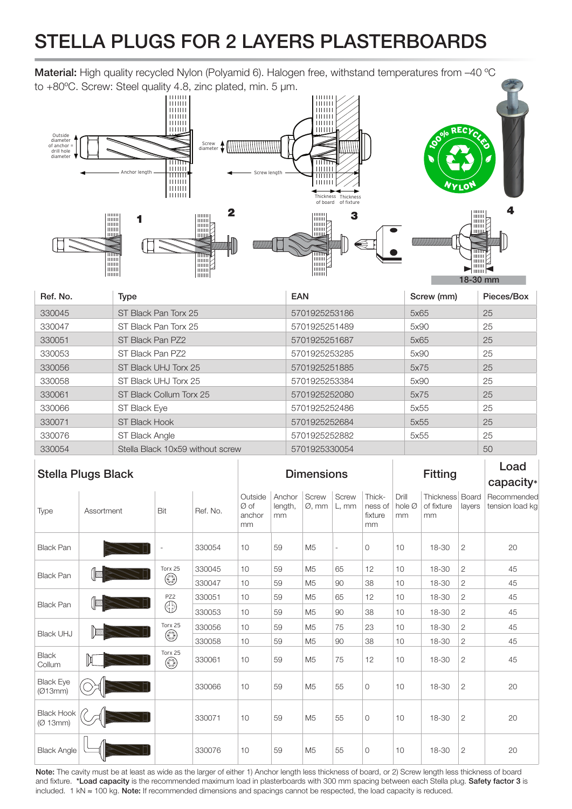## STELLA PLUGS FOR 2 LAYERS PLASTERBOARDS

Material: High quality recycled Nylon (Polyamid 6). Halogen free, withstand temperatures from -40 °C

to +80°C. Screw: Steel quality 4.8, zinc plated, min. 5  $\mu$ m.<br>  $\begin{bmatrix} 10000 \\ 00000 \\ 00000 \\ 00000 \\ 00000 \\ 00000 \\ 00000 \\ 00000 \\ 00000 \\ 00000 \\ 00000 \\ 00000 \\ 00000 \\ 00000 \\ 00000 \\ 00000 \\ 00000 \\ 00000 \\ 00000 \\ 00000 \\ 00000 \\ 00$ **Milli** iiiiii Outside diameter of anchor = drill hole diameter Screw diameter AWWWWWW  $\overline{\mathbb{H}}$ तोति iiiiiii iiiiiii Anchor length Screw length tiiiii Liititti Thickness Thickness<br>of board of fixture  $\overline{\mathbf{2}}$ **The Second Second** 3 1 I  $\Box$ 11 **MANA** E **Time**  $\overline{\mathbb{R}}$ E





| Ref. No. | Type                             | <b>EAN</b>    | Screw (mm) | Pieces/Box |
|----------|----------------------------------|---------------|------------|------------|
| 330045   | ST Black Pan Torx 25             | 5701925253186 | 5x65       | 25         |
| 330047   | ST Black Pan Torx 25             | 5701925251489 | 5x90       | 25         |
| 330051   | ST Black Pan PZ2                 | 5701925251687 | 5x65       | 25         |
| 330053   | ST Black Pan PZ2                 | 5701925253285 | 5x90       | 25         |
| 330056   | ST Black UHJ Torx 25             | 5701925251885 | 5x75       | 25         |
| 330058   | ST Black UHJ Torx 25             | 5701925253384 | 5x90       | 25         |
| 330061   | ST Black Collum Torx 25          | 5701925252080 | 5x75       | 25         |
| 330066   | ST Black Eye                     | 5701925252486 | 5x55       | 25         |
| 330071   | ST Black Hook                    | 5701925252684 | 5x55       | 25         |
| 330076   | ST Black Angle                   | 5701925252882 | 5x55       | 25         |
| 330054   | Stella Black 10x59 without screw | 5701925330054 |            | 50         |

| <b>Stella Plugs Black</b>     |            |                        | <b>Dimensions</b> |                                |                         |                             | <b>Fitting</b> |                                    |                       | Load<br>capacity*                   |                |                                |
|-------------------------------|------------|------------------------|-------------------|--------------------------------|-------------------------|-----------------------------|----------------|------------------------------------|-----------------------|-------------------------------------|----------------|--------------------------------|
| Type                          | Assortment | Bit                    | Ref. No.          | Outside<br>Øof<br>anchor<br>mm | Anchor<br>length,<br>mm | Screw<br>$\varnothing$ , mm | Screw<br>L, mm | Thick-<br>ness of<br>fixture<br>mm | Drill<br>hole Ø<br>mm | Thickness Board<br>of fixture<br>mm | layers         | Recommended<br>tension load kg |
| <b>Black Pan</b>              |            |                        | 330054            | 10                             | 59                      | M <sub>5</sub>              | ٠              | $\mathbf{O}$                       | 10                    | 18-30                               | $\mathbf{2}$   | 20                             |
| <b>Black Pan</b>              |            | Torx 25<br>$\circledS$ | 330045            | 10                             | 59                      | M <sub>5</sub>              | 65             | 12                                 | 10                    | 18-30                               | $\overline{2}$ | 45                             |
|                               |            |                        | 330047            | 10                             | 59                      | M <sub>5</sub>              | 90             | 38                                 | 10                    | 18-30                               | $\overline{2}$ | 45                             |
| <b>Black Pan</b>              |            | PZ2<br>⊕               | 330051            | 10                             | 59                      | M <sub>5</sub>              | 65             | 12                                 | 10                    | 18-30                               | $\mathbf{2}$   | 45                             |
|                               |            |                        | 330053            | 10                             | 59                      | M <sub>5</sub>              | 90             | 38                                 | 10                    | 18-30                               | $\mathbf{2}$   | 45                             |
| <b>Black UHJ</b>              |            | Torx 25<br>◉           | 330056            | 10                             | 59                      | M <sub>5</sub>              | 75             | 23                                 | 10                    | 18-30                               | $\mathbf{2}$   | 45                             |
|                               |            |                        | 330058            | 10                             | 59                      | M <sub>5</sub>              | 90             | 38                                 | 10                    | 18-30                               | $\mathbf{2}$   | 45                             |
| <b>Black</b><br>Collum        |            | Torx 25<br>$\circledS$ | 330061            | 10                             | 59                      | M <sub>5</sub>              | 75             | 12                                 | 10                    | 18-30                               | $\overline{2}$ | 45                             |
| <b>Black Eye</b><br>(Ø13mm)   |            |                        | 330066            | 10                             | 59                      | M <sub>5</sub>              | 55             | $\circ$                            | 10                    | 18-30                               | $\overline{2}$ | 20                             |
| <b>Black Hook</b><br>(Ø 13mm) |            |                        | 330071            | 10                             | 59                      | M <sub>5</sub>              | 55             | $\Omega$                           | 10                    | 18-30                               | $\overline{2}$ | 20                             |
| <b>Black Angle</b>            |            |                        | 330076            | 10                             | 59                      | M <sub>5</sub>              | 55             | $\circ$                            | 10                    | 18-30                               | $\mathbf{2}$   | 20                             |

Note: The cavity must be at least as wide as the larger of either 1) Anchor length less thickness of board, or 2) Screw length less thickness of board and fixture. \*Load capacity is the recommended maximum load in plasterboards with 300 mm spacing between each Stella plug. Safety factor 3 is included. 1 kN ≈ 100 kg. Note: If recommended dimensions and spacings cannot be respected, the load capacity is reduced.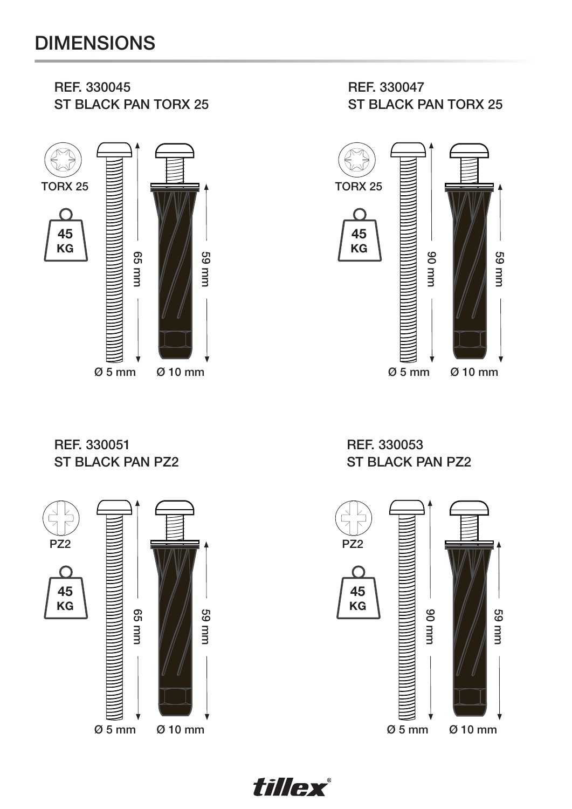## DIMENSIONS

REF. 330045



REF. 330047 ST BLACK PAN TORX 25



REF. 330051 ST BLACK PAN PZ2



REF. 330053 ST BLACK PAN PZ2

![](_page_1_Figure_7.jpeg)

![](_page_1_Picture_8.jpeg)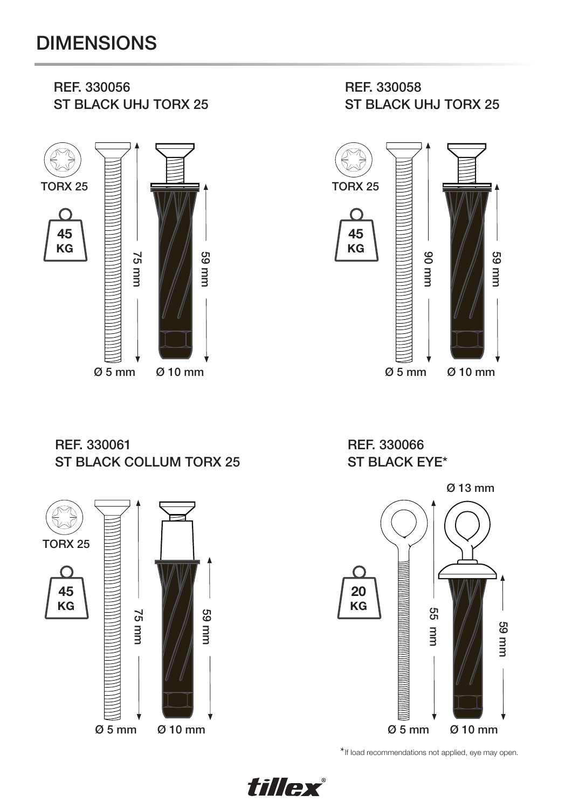## DIMENSIONS

![](_page_2_Figure_1.jpeg)

REF. 330061 ST BLACK COLLUM TORX 25

![](_page_2_Figure_3.jpeg)

REF. 330066 ST BLACK EYE\* 59 mm

![](_page_2_Figure_5.jpeg)

\*If load recommendations not applied, eye may open.

![](_page_2_Picture_7.jpeg)